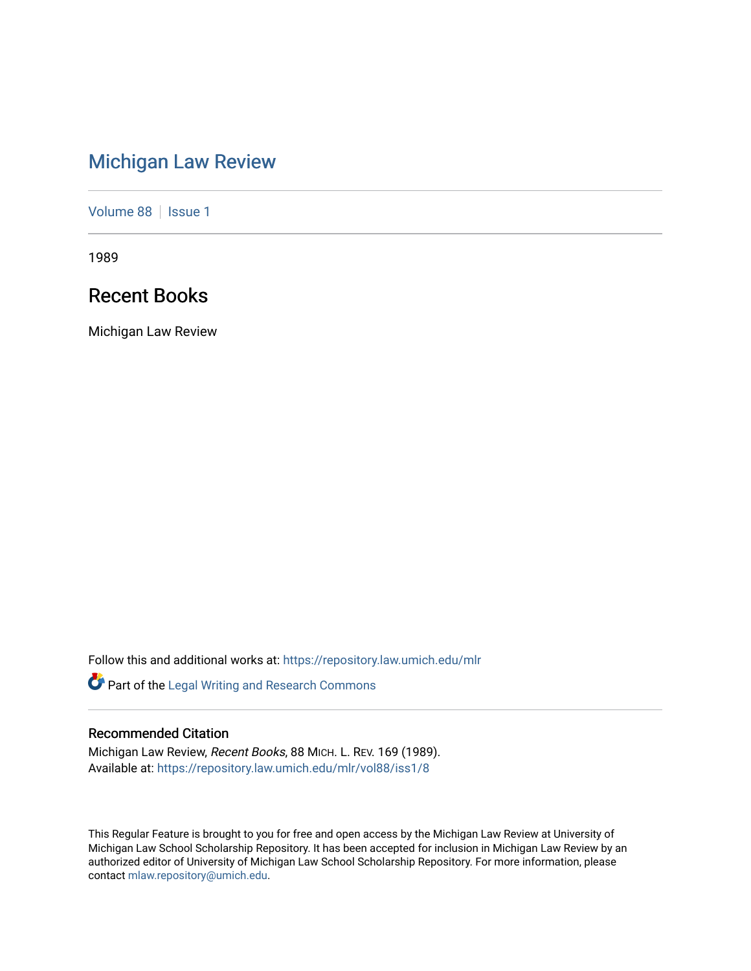# [Michigan Law Review](https://repository.law.umich.edu/mlr)

[Volume 88](https://repository.law.umich.edu/mlr/vol88) | [Issue 1](https://repository.law.umich.edu/mlr/vol88/iss1)

1989

# Recent Books

Michigan Law Review

Follow this and additional works at: [https://repository.law.umich.edu/mlr](https://repository.law.umich.edu/mlr?utm_source=repository.law.umich.edu%2Fmlr%2Fvol88%2Fiss1%2F8&utm_medium=PDF&utm_campaign=PDFCoverPages) 

Part of the [Legal Writing and Research Commons](http://network.bepress.com/hgg/discipline/614?utm_source=repository.law.umich.edu%2Fmlr%2Fvol88%2Fiss1%2F8&utm_medium=PDF&utm_campaign=PDFCoverPages) 

# Recommended Citation

Michigan Law Review, Recent Books, 88 MICH. L. REV. 169 (1989). Available at: [https://repository.law.umich.edu/mlr/vol88/iss1/8](https://repository.law.umich.edu/mlr/vol88/iss1/8?utm_source=repository.law.umich.edu%2Fmlr%2Fvol88%2Fiss1%2F8&utm_medium=PDF&utm_campaign=PDFCoverPages)

This Regular Feature is brought to you for free and open access by the Michigan Law Review at University of Michigan Law School Scholarship Repository. It has been accepted for inclusion in Michigan Law Review by an authorized editor of University of Michigan Law School Scholarship Repository. For more information, please contact [mlaw.repository@umich.edu](mailto:mlaw.repository@umich.edu).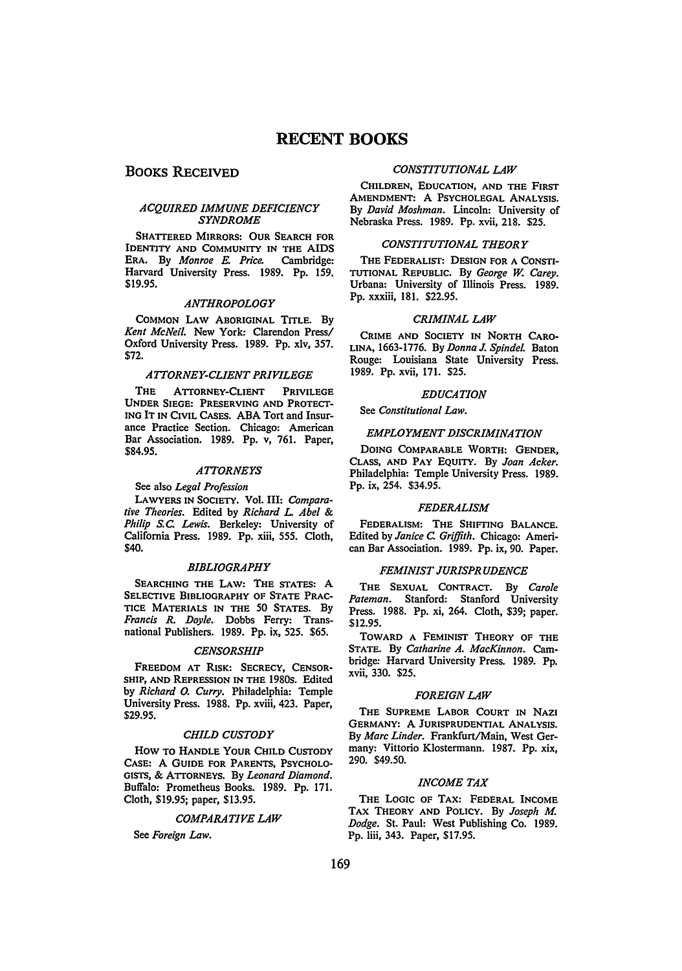# **RECENT BOOKS**

# BOOKS RECEIVED

# *ACQUIRED IMMUNE DEFICIENCY SYNDROME*

SHATIERED MIRRORS: OUR SEARCH FOR IDENTITY AND CoMMUNITY IN THE AIDS ERA. By *Monroe* E. *Price.* Cambridge: Harvard University Press. 1989. Pp. 159. \$19.95.

# *ANTHROPOLOGY*

COMMON LAW ABORIGINAL TITLE. By *Kent McNeil.* New York: Clarendon Press/ Oxford University Press. 1989. Pp. xiv, 357. \$72.

### *ATTORNEY-CLIENT PRIVILEGE*

THE ATTORNEY-CLIENT PRIVILEGE UNDER SIEGE: PRESERVING AND PROTECT-ING IT IN CIVIL CASES. ABA Tort and Insurance Practice Section. Chicago: American Bar Association. 1989. Pp. v, 761. Paper, \$84.95.

## *ATTORNEYS*

See also *Legal Profession* 

LAWYERS IN SOCIETY. Vol. III: *Comparative Theories.* Edited by *Richard* L *Abel* & *Philip* S.C *Lewis.* Berkeley: University of California Press. 1989. Pp. xiii, *555.* Cloth, \$40.

#### *BIBLIOGRAPHY*

SEARCHING THE LAW: THE STATES: A SELECTIVE BIBLIOGRAPHY OF STATE PRAC-TICE MATERIALS IN THE 50 STATES. By *Francis R. Doyle.* Dobbs Ferry: Transnational Publishers. 1989. Pp. ix, 525. \$65.

#### *CENSORSHIP*

FREEDOM AT RISK: SECRECY, CENSOR-SHIP, AND REPRESSION IN THE 1980s. Edited by *Richard 0. Curry.* Philadelphia: Temple University Press. 1988. Pp. xviii, 423. Paper, \$29.95.

#### *CHILD CUSTODY*

How TO HANDLE YOUR CHILD CUSTODY CASE: A GUIDE FOR PARENTS, PSYCHOLO-GISTS, & ATIORNEYS. By *Leonard Diamond.*  Buffalo: Prometheus Books. 1989. Pp. 171. Cloth, \$19.95; paper, \$13.95.

#### *COMPARATIVE LAW*

See *Foreign Law.* 

## *CONSTITUTIONAL LAW*

CHILDREN, EDUCATION, AND THE FIRST AMENDMENT: A PSYCHOLEGAL ANALYSIS. By *David Moshman.* Lincoln: University of Nebraska Press. 1989. Pp. xvii, 218. \$25.

#### *CONSTITUTIONAL THEORY*

THE FEDERALIST: DESIGN FOR A CONSTI-TUTIONAL REPUBLIC. By *George w. Carey.*  Urbana: University of Illinois Press. 1989. Pp. xxxiii, 181. \$22.95.

#### *CRIMINAL LAW*

CRIME AND SOCIETY IN NORTH CARO-LINA, 1663-1776. By *Donna J. Spindel.* Baton Rouge: Louisiana State University Press. 1989. Pp. xvii, 171. \$25.

# *EDUCATION*

See *Constitutional Law.* 

#### *EMPLOYMENT DISCRIMINATION*

DOING COMPARABLE WORTH: GENDER, CLASS, AND PAY EQUITY. By *Joan Acker.*  Philadelphia: Temple University Press. 1989. Pp. ix, 254. \$34.95.

#### *FEDERALISM*

FEDERALISM: THE SHIFTING BALANCE. Edited by *Janice* C *Griffith.* Chicago: American Bar Association. 1989. Pp. ix, 90. Paper.

# *FEMINIST JURISPRUDENCE*

THE SEXUAL CONTRACT. By *Carole Pateman.* Stanford: Stanford University Press. 1988. Pp. xi, 264. Cloth, \$39; paper. \$12.95.

TOWARD A FEMINIST THEORY OF THE STATE. By *Catharine A. MacKinnon.* Cambridge: Harvard University Press. 1989. Pp. xvii, 330. \$25.

#### *FOREIGN LAW*

THE SUPREME LABOR COURT IN NAZI GERMANY: A JURISPRUDENTIAL ANALYSIS. By *Marc Linder.* Frankfurt/Main, West Germany: Vittorio Klostermann. 1987. Pp. xix, 290. \$49.50.

#### *INCOME TAX*

THE LOGIC OF TAX: FEDERAL INCOME TAX THEORY AND POLICY. By *Joseph M. Dodge.* St. Paul: West Publishing Co. 1989. Pp. Iiii, 343. Paper, \$17.95.